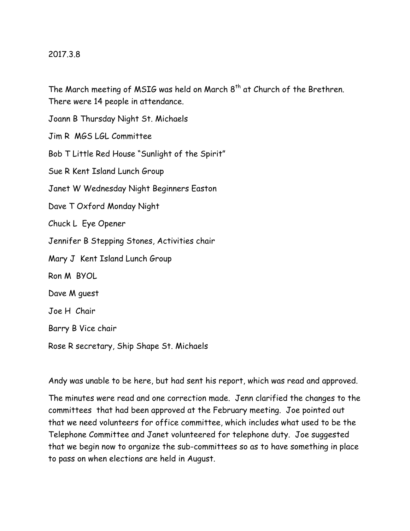## 2017.3.8

The March meeting of MSIG was held on March  $8<sup>th</sup>$  at Church of the Brethren. There were 14 people in attendance.

Joann B Thursday Night St. Michaels Jim R MGS LGL Committee Bob T Little Red House "Sunlight of the Spirit" Sue R Kent Island Lunch Group Janet W Wednesday Night Beginners Easton Dave T Oxford Monday Night Chuck L Eye Opener Jennifer B Stepping Stones, Activities chair Mary J Kent Island Lunch Group Ron M BYOL Dave M guest Joe H Chair Barry B Vice chair

Rose R secretary, Ship Shape St. Michaels

Andy was unable to be here, but had sent his report, which was read and approved.

The minutes were read and one correction made. Jenn clarified the changes to the committees that had been approved at the February meeting. Joe pointed out that we need volunteers for office committee, which includes what used to be the Telephone Committee and Janet volunteered for telephone duty. Joe suggested that we begin now to organize the sub-committees so as to have something in place to pass on when elections are held in August.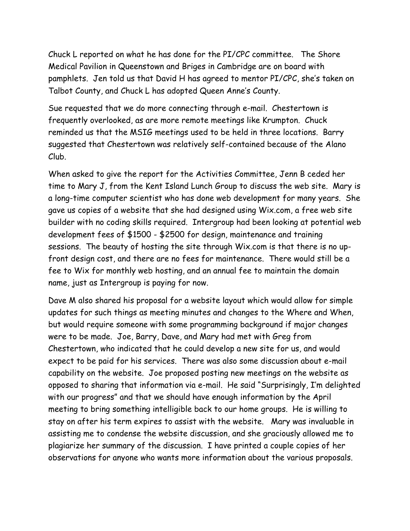Chuck L reported on what he has done for the PI/CPC committee. The Shore Medical Pavilion in Queenstown and Briges in Cambridge are on board with pamphlets. Jen told us that David H has agreed to mentor PI/CPC, she's taken on Talbot County, and Chuck L has adopted Queen Anne's County.

Sue requested that we do more connecting through e-mail. Chestertown is frequently overlooked, as are more remote meetings like Krumpton. Chuck reminded us that the MSIG meetings used to be held in three locations. Barry suggested that Chestertown was relatively self-contained because of the Alano Club.

When asked to give the report for the Activities Committee, Jenn B ceded her time to Mary J, from the Kent Island Lunch Group to discuss the web site. Mary is a long-time computer scientist who has done web development for many years. She gave us copies of a website that she had designed using Wix.com, a free web site builder with no coding skills required. Intergroup had been looking at potential web development fees of \$1500 - \$2500 for design, maintenance and training sessions. The beauty of hosting the site through Wix.com is that there is no upfront design cost, and there are no fees for maintenance. There would still be a fee to Wix for monthly web hosting, and an annual fee to maintain the domain name, just as Intergroup is paying for now.

Dave M also shared his proposal for a website layout which would allow for simple updates for such things as meeting minutes and changes to the Where and When, but would require someone with some programming background if major changes were to be made. Joe, Barry, Dave, and Mary had met with Greg from Chestertown, who indicated that he could develop a new site for us, and would expect to be paid for his services. There was also some discussion about e-mail capability on the website. Joe proposed posting new meetings on the website as opposed to sharing that information via e-mail. He said "Surprisingly, I'm delighted with our progress" and that we should have enough information by the April meeting to bring something intelligible back to our home groups. He is willing to stay on after his term expires to assist with the website. Mary was invaluable in assisting me to condense the website discussion, and she graciously allowed me to plagiarize her summary of the discussion. I have printed a couple copies of her observations for anyone who wants more information about the various proposals.